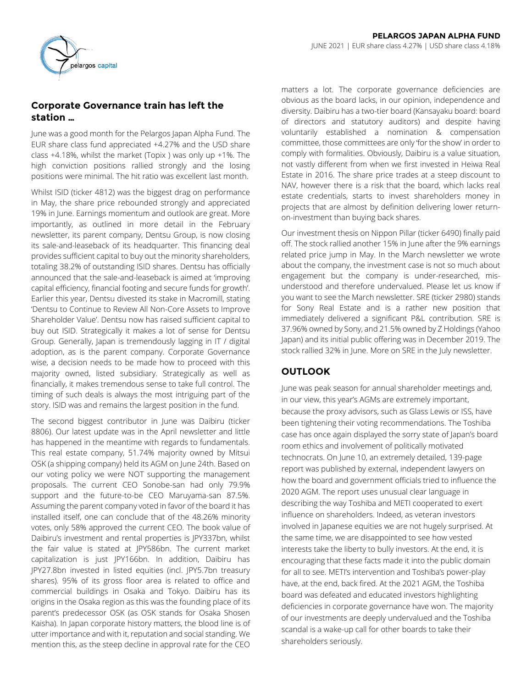

# **Corporate Governance train has left the station …**

June was a good month for the Pelargos Japan Alpha Fund. The EUR share class fund appreciated +4.27% and the USD share class  $+4.18$ %, whilst the market (Topix ) was only up  $+1$ %. The high conviction positions rallied strongly and the losing positions were minimal. The hit ratio was excellent last month.

Whilst ISID (ticker 4812) was the biggest drag on performance in May, the share price rebounded strongly and appreciated 19% in June. Earnings momentum and outlook are great. More importantly, as outlined in more detail in the February newsletter, its parent company, Dentsu Group, is now closing its sale-and-leaseback of its headquarter. This financing deal provides sufficient capital to buy out the minority shareholders, totaling 38.2% of outstanding ISID shares. Dentsu has officially announced that the sale-and-leaseback is aimed at 'improving capital efficiency, financial footing and secure funds for growth'. Earlier this year, Dentsu divested its stake in Macromill, stating 'Dentsu to Continue to Review All Non-Core Assets to Improve Shareholder Value'. Dentsu now has raised sufficient capital to buy out ISID. Strategically it makes a lot of sense for Dentsu Group. Generally, Japan is tremendously lagging in IT / digital adoption, as is the parent company. Corporate Governance wise, a decision needs to be made how to proceed with this majority owned, listed subsidiary. Strategically as well as financially, it makes tremendous sense to take full control. The timing of such deals is always the most intriguing part of the story. ISID was and remains the largest position in the fund.

The second biggest contributor in June was Daibiru (ticker 8806). Our latest update was in the April newsletter and little has happened in the meantime with regards to fundamentals. This real estate company, 51.74% majority owned by Mitsui OSK (a shipping company) held its AGM on June 24th. Based on our voting policy we were NOT supporting the management proposals. The current CEO Sonobe-san had only 79.9% support and the future-to-be CEO Maruyama-san 87.5%. Assuming the parent company voted in favor of the board it has installed itself, one can conclude that of the 48.26% minority votes, only 58% approved the current CEO. The book value of Daibiru's investment and rental properties is JPY337bn, whilst the fair value is stated at JPY586bn. The current market capitalization is just JPY166bn. In addition, Daibiru has JPY27.8bn invested in listed equities (incl. JPY5.7bn treasury shares). 95% of its gross floor area is related to office and commercial buildings in Osaka and Tokyo. Daibiru has its origins in the Osaka region as this was the founding place of its parent's predecessor OSK (as OSK stands for Osaka Shosen Kaisha). In Japan corporate history matters, the blood line is of utter importance and with it, reputation and social standing. We mention this, as the steep decline in approval rate for the CEO

matters a lot. The corporate governance deficiencies are obvious as the board lacks, in our opinion, independence and diversity. Daibiru has a two-tier board (Kansayaku board: board of directors and statutory auditors) and despite having voluntarily established a nomination & compensation committee, those committees are only 'for the show' in order to comply with formalities. Obviously, Daibiru is a value situation, not vastly different from when we first invested in Heiwa Real Estate in 2016. The share price trades at a steep discount to NAV, however there is a risk that the board, which lacks real estate credentials, starts to invest shareholders money in projects that are almost by definition delivering lower returnon-investment than buying back shares.

Our investment thesis on Nippon Pillar (ticker 6490) finally paid off. The stock rallied another 15% in June after the 9% earnings related price jump in May. In the March newsletter we wrote about the company, the investment case is not so much about engagement but the company is under-researched, misunderstood and therefore undervalued. Please let us know if you want to see the March newsletter. SRE (ticker 2980) stands for Sony Real Estate and is a rather new position that immediately delivered a significant P&L contribution. SRE is 37.96% owned by Sony, and 21.5% owned by Z Holdings (Yahoo Japan) and its initial public offering was in December 2019. The stock rallied 32% in June. More on SRE in the July newsletter.

# **OUTLOOK**

June was peak season for annual shareholder meetings and, in our view, this year's AGMs are extremely important, because the proxy advisors, such as Glass Lewis or ISS, have been tightening their voting recommendations. The Toshiba case has once again displayed the sorry state of Japan's board room ethics and involvement of politically motivated technocrats. On June 10, an extremely detailed, 139-page report was published by external, independent lawyers on how the board and government officials tried to influence the 2020 AGM. The report uses unusual clear language in describing the way Toshiba and METI cooperated to exert influence on shareholders. Indeed, as veteran investors involved in Japanese equities we are not hugely surprised. At the same time, we are disappointed to see how vested interests take the liberty to bully investors. At the end, it is encouraging that these facts made it into the public domain for all to see. METI's intervention and Toshiba's power-play have, at the end, back fired. At the 2021 AGM, the Toshiba board was defeated and educated investors highlighting deficiencies in corporate governance have won. The majority of our investments are deeply undervalued and the Toshiba scandal is a wake-up call for other boards to take their shareholders seriously.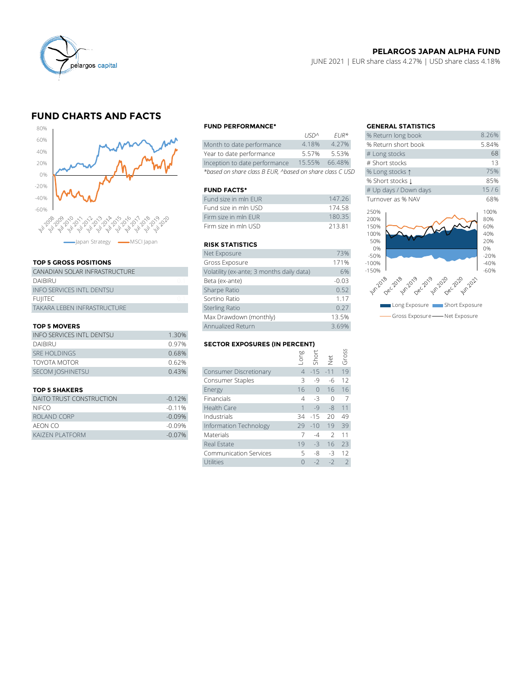

## **PELARGOS JAPAN ALPHA FUND**

JUNE 2021 | EUR share class 4.27% | USD share class 4.18%

## **FUND CHARTS AND FACTS**



### **TOP 5 GROSS POSITIONS**

| apan Strategy - MSCI Japan       |                | <b>RISK STATIS</b>    |
|----------------------------------|----------------|-----------------------|
|                                  |                | Net Exposure          |
| <b>TOP 5 GROSS POSITIONS</b>     |                | Gross Exposu          |
| CANADIAN SOLAR INFRASTRUCTURE    |                | Volatility (ex-ar     |
| <b>DAIBIRU</b>                   | 01             | Beta (ex-ante)        |
| <b>INFO SERVICES INTL DENTSU</b> |                | Sharpe Ratio          |
| <b>FUIITEC</b>                   | 0 <sub>1</sub> | Sortino Ratio         |
| TAKARA LEBEN INFRASTRUCTURE      |                | <b>Sterling Ratio</b> |
|                                  |                | Max Drawdow           |
|                                  |                |                       |

### **TOP 5 MOVERS**

|                           | Max Drawdown (monthly)               | 13.5%                         |  |               |               |       |  |
|---------------------------|--------------------------------------|-------------------------------|--|---------------|---------------|-------|--|
| <b>TOP 5 MOVERS</b>       | Annualized Return                    |                               |  |               | 3.69%         |       |  |
| INFO SERVICES INTL DENTSU | 1.30%                                |                               |  |               |               |       |  |
| <b>DAIBIRU</b>            | <b>SECTOR EXPOSURES (IN PERCENT)</b> |                               |  |               |               |       |  |
| <b>SRE HOLDINGS</b>       | 0.68%                                |                               |  | Long<br>Short |               | Gross |  |
| <b>TOYOTA MOTOR</b>       | 0.62%                                |                               |  |               | $\frac{1}{2}$ |       |  |
| SECOM JOSHINETSU          | 0.43%                                | <b>Consumer Discretionary</b> |  | $4 - 15 - 11$ |               | 19    |  |
|                           |                                      | Consumer Staples              |  | -9            | -6            | 12    |  |
|                           |                                      |                               |  |               |               |       |  |

| DAITO TRUST CONSTRUCTION | $-0.12%$  | Financials             | 4 - 3          |      |
|--------------------------|-----------|------------------------|----------------|------|
| <b>NIFCO</b>             | $-0.11\%$ | Health Care            | $1 - 9 - 8 11$ |      |
| ROLAND CORP              | $-0.09%$  | Industrials            | 34 -15 20 49   |      |
| AEON CO                  | $-0.09\%$ | Information Technology | 29 -10 19 39   |      |
| KAIZEN PLATFORM          | $-0.07\%$ | <b>Materials</b>       |                | 2 11 |

#### **FUND PERFORMANCE\* GENERAL STATISTICS**

|                                                          | 11511''         | $FIR^{\pi}$ | % Return long dook  |
|----------------------------------------------------------|-----------------|-------------|---------------------|
| Month to date performance                                | 4.18%           | 4.27%       | % Return short book |
| Year to date performance                                 | 5.57%           | 5.53%       | # Long stocks       |
| Inception to date performance                            | 15.55%          | 66.48%      | # Short stocks      |
| *based on share class B EUR, ^based on share class C USD | % Long stocks 1 |             |                     |

#### **FUND FACTS\***

| Fund size in mln EUR | 147.26 | Turnover as % NAV |
|----------------------|--------|-------------------|
| Fund size in mln USD | 174 58 | 250%              |
| Firm size in mln FUR | 18035  | 200%              |
| Firm size in mln USD | 21381  | 150%              |

#### **RISK STATISTICS**

| Firm size in mln FUR                      | 180.35  |
|-------------------------------------------|---------|
| Firm size in mln USD                      | 213.81  |
|                                           |         |
| <b>RISK STATISTICS</b>                    |         |
| Net Exposure                              | 73%     |
| Gross Exposure                            | 171%    |
| Volatility (ex-ante; 3 months daily data) | 6%      |
| Beta (ex-ante)                            | $-0.03$ |
| Sharpe Ratio                              | 0.52    |
| Sortino Ratio                             | 1.17    |
| <b>Sterling Ratio</b>                     | 0.27    |
| Max Drawdown (monthly)                    | 13.5%   |
| Annualized Return                         | 3.69%   |

### **SECTOR EXPOSURES (IN PERCENT)**

| <b>TOP 5 MOVERS</b>             |          | Annualized Return                    |      |            |               | 3.69% |  |  |
|---------------------------------|----------|--------------------------------------|------|------------|---------------|-------|--|--|
| INFO SERVICES INTL DENTSU       | 1.30%    |                                      |      |            |               |       |  |  |
| <b>DAIBIRU</b>                  | 0.97%    | <b>SECTOR EXPOSURES (IN PERCENT)</b> |      |            |               |       |  |  |
| <b>SRE HOLDINGS</b>             | 0.68%    |                                      | suo- | Short      |               | Gross |  |  |
| TOYOTA MOTOR                    | 0.62%    |                                      |      |            | Net           |       |  |  |
| <b>SECOM JOSHINETSU</b>         | 0.43%    | Consumer Discretionary               |      | $4 - 15$   | $-11$         | 19    |  |  |
|                                 |          | Consumer Staples                     |      | $-9$       | -6            | 12    |  |  |
| <b>TOP 5 SHAKERS</b>            |          | Energy                               | 16   | $\bigcirc$ | 16            | 16    |  |  |
| <b>DAITO TRUST CONSTRUCTION</b> | $-0.12%$ | Financials                           | 4    | $-3$       | $\Omega$      | 7     |  |  |
| NIFCO                           | $-0.11%$ | Health Care                          |      | $-9$       | $-8$          | 11    |  |  |
| ROLAND CORP                     | $-0.09%$ | Industrials                          | 34   | $-15$      | 20            | 49    |  |  |
| AEON CO                         | $-0.09%$ | Information Technology               | 29   | $-10$      | 19            | 39    |  |  |
| KAIZEN PLATFORM                 | $-0.07%$ | Materials                            |      | $-4$       | $\mathcal{P}$ |       |  |  |
|                                 |          | Real Estate                          | 19   | $-3$       | 16            | 23    |  |  |
|                                 |          | <b>Communication Services</b>        | 5    | -8         | $-3$          | 12    |  |  |
|                                 |          | Utilities                            | 0    | $-2$       | $-2$          | 2     |  |  |
|                                 |          |                                      |      |            |               |       |  |  |

|             |                            | <b>GENERAL STATISTICS</b>                   |                                  |
|-------------|----------------------------|---------------------------------------------|----------------------------------|
| <b>USDA</b> | $FIR*$                     | % Return long book                          | 8.26%                            |
| 4.18%       | 4.27%                      | % Return short book                         | 5.84%                            |
| 5.57%       | 5.53%                      | # Long stocks                               | 68                               |
| 15.55%      | 66.48%                     | # Short stocks                              | 13                               |
|             | l on share class C USD     | % Long stocks 1                             | 75%                              |
|             |                            | % Short stocks 1                            | 85%                              |
|             |                            | # Up days / Down days                       | 15/6                             |
|             | 147.26                     | Turnover as % NAV                           | 68%                              |
|             | 174.58<br>180.35<br>213.81 | 250%<br>200%<br>150%<br>100%<br>50%         | 100%<br>80%<br>60%<br>40%<br>20% |
|             | 73%                        | 0%<br>$-50%$                                | 0%<br>$-20%$                     |
|             | 171%                       | $-100%$                                     | $-40%$                           |
| data)       | 6%                         | $-150%$                                     | $-60%$                           |
|             | $-0.03$                    | un 2018 c 2018 or 2019 a 2019 c 2020 m202   |                                  |
|             | 0.52                       |                                             |                                  |
|             | 1.17                       |                                             |                                  |
|             | 0.27                       | Long Exposure <b>Company</b> Short Exposure |                                  |
|             | 13.5%                      | Gross Exposure - Net Exposure               |                                  |